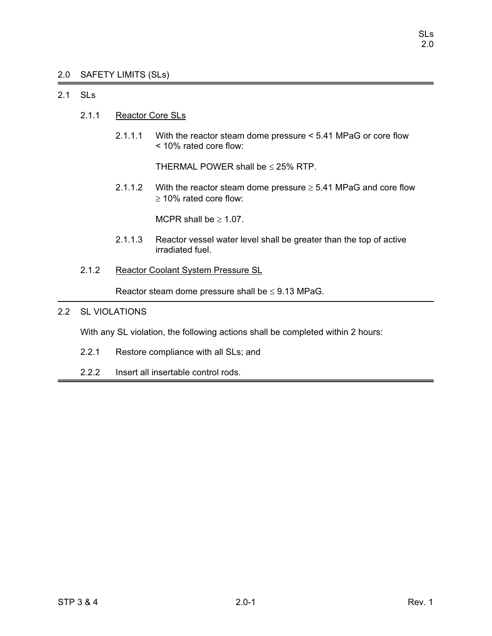### 2.0 SAFETY LIMITS (SLs)

### 2.1 SLs

- 2.1.1 Reactor Core SLs
	- 2.1.1.1 With the reactor steam dome pressure < 5.41 MPaG or core flow < 10% rated core flow:

THERMAL POWER shall be  $\leq$  25% RTP.

2.1.1.2 With the reactor steam dome pressure  $\geq$  5.41 MPaG and core flow  $\geq$  10% rated core flow:

MCPR shall be  $\geq 1.07$ .

- 2.1.1.3 Reactor vessel water level shall be greater than the top of active irradiated fuel.
- 2.1.2 Reactor Coolant System Pressure SL

Reactor steam dome pressure shall be  $\leq$  9.13 MPaG.

### 2.2 SL VIOLATIONS

With any SL violation, the following actions shall be completed within 2 hours:

- 2.2.1 Restore compliance with all SLs; and
- 2.2.2 Insert all insertable control rods.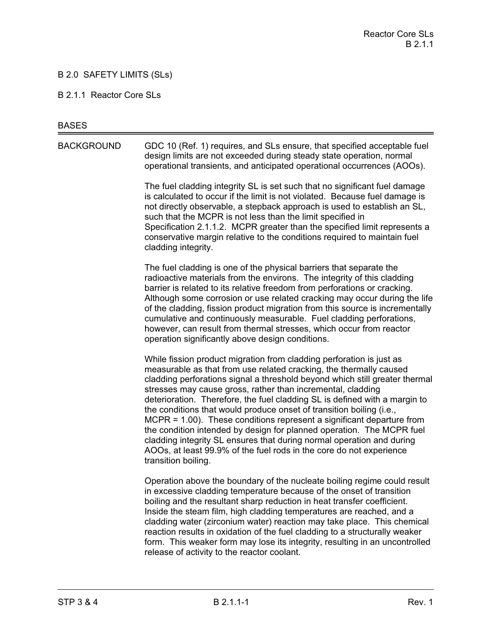### B 2.0 SAFETY LIMITS (SLs)

#### B 2.1.1 Reactor Core SLs

#### **BASES**

BACKGROUND GDC 10 (Ref. 1) requires, and SLs ensure, that specified acceptable fuel design limits are not exceeded during steady state operation, normal operational transients, and anticipated operational occurrences (AOOs).

> The fuel cladding integrity SL is set such that no significant fuel damage is calculated to occur if the limit is not violated. Because fuel damage is not directly observable, a stepback approach is used to establish an SL, such that the MCPR is not less than the limit specified in Specification 2.1.1.2. MCPR greater than the specified limit represents a conservative margin relative to the conditions required to maintain fuel cladding integrity.

The fuel cladding is one of the physical barriers that separate the radioactive materials from the environs. The integrity of this cladding barrier is related to its relative freedom from perforations or cracking. Although some corrosion or use related cracking may occur during the life of the cladding, fission product migration from this source is incrementally cumulative and continuously measurable. Fuel cladding perforations, however, can result from thermal stresses, which occur from reactor operation significantly above design conditions.

While fission product migration from cladding perforation is just as measurable as that from use related cracking, the thermally caused cladding perforations signal a threshold beyond which still greater thermal stresses may cause gross, rather than incremental, cladding deterioration. Therefore, the fuel cladding SL is defined with a margin to the conditions that would produce onset of transition boiling (i.e., MCPR = 1.00). These conditions represent a significant departure from the condition intended by design for planned operation. The MCPR fuel cladding integrity SL ensures that during normal operation and during AOOs, at least 99.9% of the fuel rods in the core do not experience transition boiling.

Operation above the boundary of the nucleate boiling regime could result in excessive cladding temperature because of the onset of transition boiling and the resultant sharp reduction in heat transfer coefficient. Inside the steam film, high cladding temperatures are reached, and a cladding water (zirconium water) reaction may take place. This chemical reaction results in oxidation of the fuel cladding to a structurally weaker form. This weaker form may lose its integrity, resulting in an uncontrolled release of activity to the reactor coolant.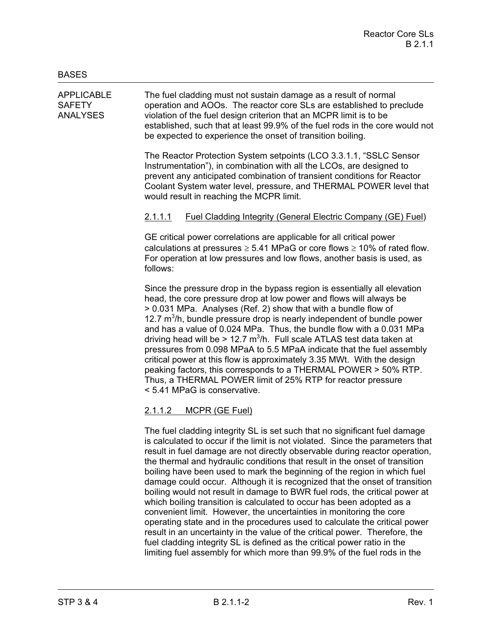APPLICABLE The fuel cladding must not sustain damage as a result of normal SAFETY operation and AOOs. The reactor core SLs are established to preclude ANALYSES violation of the fuel design criterion that an MCPR limit is to be established, such that at least 99.9% of the fuel rods in the core would not be expected to experience the onset of transition boiling.

> The Reactor Protection System setpoints (LCO 3.3.1.1, "SSLC Sensor Instrumentation"), in combination with all the LCOs, are designed to prevent any anticipated combination of transient conditions for Reactor Coolant System water level, pressure, and THERMAL POWER level that would result in reaching the MCPR limit.

### 2.1.1.1 Fuel Cladding Integrity (General Electric Company (GE) Fuel)

GE critical power correlations are applicable for all critical power calculations at pressures  $\geq 5.41$  MPaG or core flows  $\geq 10\%$  of rated flow. For operation at low pressures and low flows, another basis is used, as follows:

Since the pressure drop in the bypass region is essentially all elevation head, the core pressure drop at low power and flows will always be > 0.031 MPa. Analyses (Ref. 2) show that with a bundle flow of 12.7  $m<sup>3</sup>/h$ , bundle pressure drop is nearly independent of bundle power and has a value of 0.024 MPa. Thus, the bundle flow with a 0.031 MPa driving head will be > 12.7  $\text{m}^3$ /h. Full scale ATLAS test data taken at pressures from 0.098 MPaA to 5.5 MPaA indicate that the fuel assembly critical power at this flow is approximately 3.35 MWt. With the design peaking factors, this corresponds to a THERMAL POWER > 50% RTP. Thus, a THERMAL POWER limit of 25% RTP for reactor pressure < 5.41 MPaG is conservative.

# 2.1.1.2 MCPR (GE Fuel)

The fuel cladding integrity SL is set such that no significant fuel damage is calculated to occur if the limit is not violated. Since the parameters that result in fuel damage are not directly observable during reactor operation, the thermal and hydraulic conditions that result in the onset of transition boiling have been used to mark the beginning of the region in which fuel damage could occur. Although it is recognized that the onset of transition boiling would not result in damage to BWR fuel rods, the critical power at which boiling transition is calculated to occur has been adopted as a convenient limit. However, the uncertainties in monitoring the core operating state and in the procedures used to calculate the critical power result in an uncertainty in the value of the critical power. Therefore, the fuel cladding integrity SL is defined as the critical power ratio in the limiting fuel assembly for which more than 99.9% of the fuel rods in the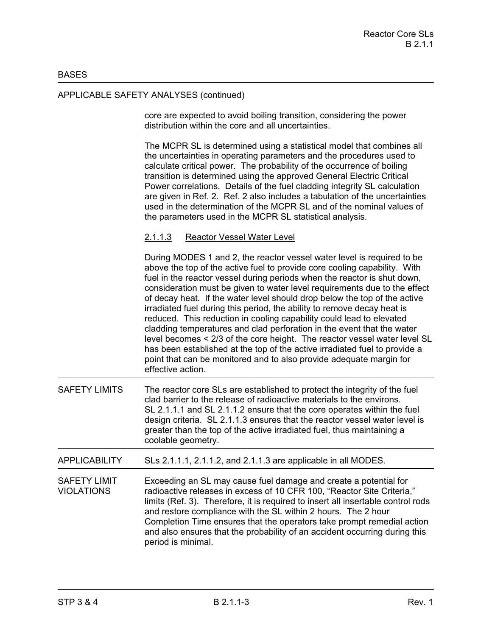### **BASES**

### APPLICABLE SAFETY ANALYSES (continued)

core are expected to avoid boiling transition, considering the power distribution within the core and all uncertainties.

The MCPR SL is determined using a statistical model that combines all the uncertainties in operating parameters and the procedures used to calculate critical power. The probability of the occurrence of boiling transition is determined using the approved General Electric Critical Power correlations. Details of the fuel cladding integrity SL calculation are given in Ref. 2. Ref. 2 also includes a tabulation of the uncertainties used in the determination of the MCPR SL and of the nominal values of the parameters used in the MCPR SL statistical analysis.

### 2.1.1.3 Reactor Vessel Water Level

During MODES 1 and 2, the reactor vessel water level is required to be above the top of the active fuel to provide core cooling capability. With fuel in the reactor vessel during periods when the reactor is shut down, consideration must be given to water level requirements due to the effect of decay heat. If the water level should drop below the top of the active irradiated fuel during this period, the ability to remove decay heat is reduced. This reduction in cooling capability could lead to elevated cladding temperatures and clad perforation in the event that the water level becomes < 2/3 of the core height. The reactor vessel water level SL has been established at the top of the active irradiated fuel to provide a point that can be monitored and to also provide adequate margin for effective action.

SAFETY LIMITS The reactor core SLs are established to protect the integrity of the fuel clad barrier to the release of radioactive materials to the environs. SL 2.1.1.1 and SL 2.1.1.2 ensure that the core operates within the fuel design criteria. SL 2.1.1.3 ensures that the reactor vessel water level is greater than the top of the active irradiated fuel, thus maintaining a coolable geometry.

APPLICABILITY SLs 2.1.1.1, 2.1.1.2, and 2.1.1.3 are applicable in all MODES.

SAFETY LIMIT Exceeding an SL may cause fuel damage and create a potential for VIOLATIONS radioactive releases in excess of 10 CFR 100, "Reactor Site Criteria," limits (Ref. 3). Therefore, it is required to insert all insertable control rods and restore compliance with the SL within 2 hours. The 2 hour Completion Time ensures that the operators take prompt remedial action and also ensures that the probability of an accident occurring during this period is minimal.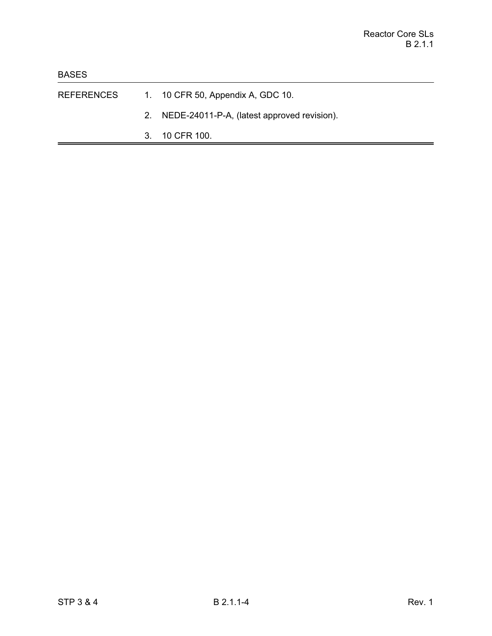- REFERENCES 1. 10 CFR 50, Appendix A, GDC 10.
	- 2. NEDE-24011-P-A, (latest approved revision).
	- 3. 10 CFR 100.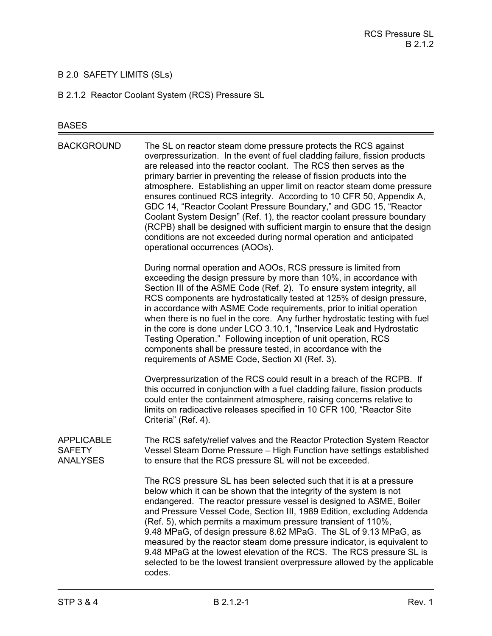# B 2.0 SAFETY LIMITS (SLs)

B 2.1.2 Reactor Coolant System (RCS) Pressure SL

# BASES

| <b>BACKGROUND</b>                                     | The SL on reactor steam dome pressure protects the RCS against<br>overpressurization. In the event of fuel cladding failure, fission products<br>are released into the reactor coolant. The RCS then serves as the<br>primary barrier in preventing the release of fission products into the<br>atmosphere. Establishing an upper limit on reactor steam dome pressure<br>ensures continued RCS integrity. According to 10 CFR 50, Appendix A,<br>GDC 14, "Reactor Coolant Pressure Boundary," and GDC 15, "Reactor<br>Coolant System Design" (Ref. 1), the reactor coolant pressure boundary<br>(RCPB) shall be designed with sufficient margin to ensure that the design<br>conditions are not exceeded during normal operation and anticipated<br>operational occurrences (AOOs). |
|-------------------------------------------------------|--------------------------------------------------------------------------------------------------------------------------------------------------------------------------------------------------------------------------------------------------------------------------------------------------------------------------------------------------------------------------------------------------------------------------------------------------------------------------------------------------------------------------------------------------------------------------------------------------------------------------------------------------------------------------------------------------------------------------------------------------------------------------------------|
|                                                       | During normal operation and AOOs, RCS pressure is limited from<br>exceeding the design pressure by more than 10%, in accordance with<br>Section III of the ASME Code (Ref. 2). To ensure system integrity, all<br>RCS components are hydrostatically tested at 125% of design pressure,<br>in accordance with ASME Code requirements, prior to initial operation<br>when there is no fuel in the core. Any further hydrostatic testing with fuel<br>in the core is done under LCO 3.10.1, "Inservice Leak and Hydrostatic<br>Testing Operation." Following inception of unit operation, RCS<br>components shall be pressure tested, in accordance with the<br>requirements of ASME Code, Section XI (Ref. 3).                                                                        |
|                                                       | Overpressurization of the RCS could result in a breach of the RCPB. If<br>this occurred in conjunction with a fuel cladding failure, fission products<br>could enter the containment atmosphere, raising concerns relative to<br>limits on radioactive releases specified in 10 CFR 100, "Reactor Site<br>Criteria" (Ref. 4).                                                                                                                                                                                                                                                                                                                                                                                                                                                        |
| <b>APPLICABLE</b><br><b>SAFETY</b><br><b>ANALYSES</b> | The RCS safety/relief valves and the Reactor Protection System Reactor<br>Vessel Steam Dome Pressure - High Function have settings established<br>to ensure that the RCS pressure SL will not be exceeded.                                                                                                                                                                                                                                                                                                                                                                                                                                                                                                                                                                           |
|                                                       | The RCS pressure SL has been selected such that it is at a pressure<br>below which it can be shown that the integrity of the system is not<br>endangered. The reactor pressure vessel is designed to ASME, Boiler<br>and Pressure Vessel Code, Section III, 1989 Edition, excluding Addenda<br>(Ref. 5), which permits a maximum pressure transient of 110%,<br>9.48 MPaG, of design pressure 8.62 MPaG. The SL of 9.13 MPaG, as<br>measured by the reactor steam dome pressure indicator, is equivalent to<br>9.48 MPaG at the lowest elevation of the RCS. The RCS pressure SL is<br>selected to be the lowest transient overpressure allowed by the applicable<br>codes.                                                                                                          |